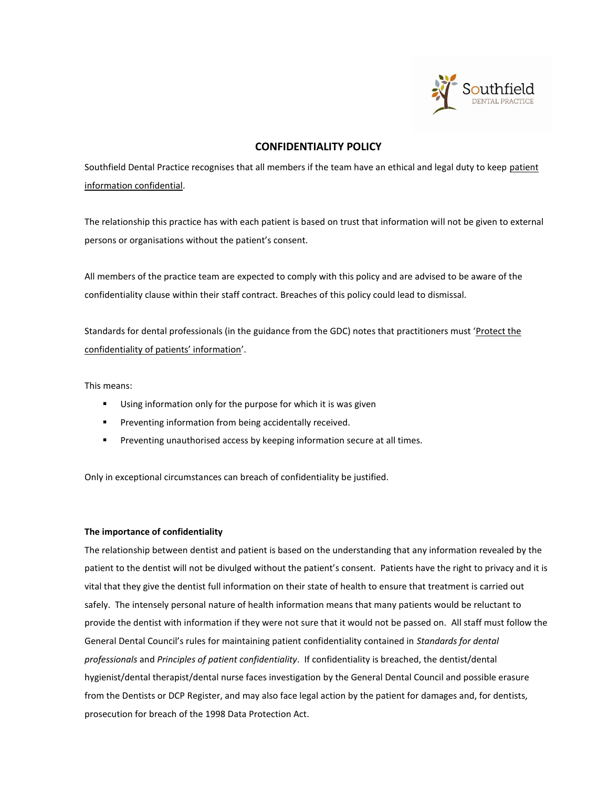

# **CONFIDENTIALITY POLICY**

Southfield Dental Practice recognises that all members if the team have an ethical and legal duty to keep patient information confidential.

The relationship this practice has with each patient is based on trust that information will not be given to external persons or organisations without the patient's consent.

All members of the practice team are expected to comply with this policy and are advised to be aware of the confidentiality clause within their staff contract. Breaches of this policy could lead to dismissal.

Standards for dental professionals (in the guidance from the GDC) notes that practitioners must 'Protect the confidentiality of patients' information'.

This means:

- **Using information only for the purpose for which it is was given**
- **Preventing information from being accidentally received.**
- **Preventing unauthorised access by keeping information secure at all times.**

Only in exceptional circumstances can breach of confidentiality be justified.

# **The importance of confidentiality**

The relationship between dentist and patient is based on the understanding that any information revealed by the patient to the dentist will not be divulged without the patient's consent. Patients have the right to privacy and it is vital that they give the dentist full information on their state of health to ensure that treatment is carried out safely. The intensely personal nature of health information means that many patients would be reluctant to provide the dentist with information if they were not sure that it would not be passed on. All staff must follow the General Dental Council's rules for maintaining patient confidentiality contained in *Standards for dental professionals* and *Principles of patient confidentiality*. If confidentiality is breached, the dentist/dental hygienist/dental therapist/dental nurse faces investigation by the General Dental Council and possible erasure from the Dentists or DCP Register, and may also face legal action by the patient for damages and, for dentists, prosecution for breach of the 1998 Data Protection Act.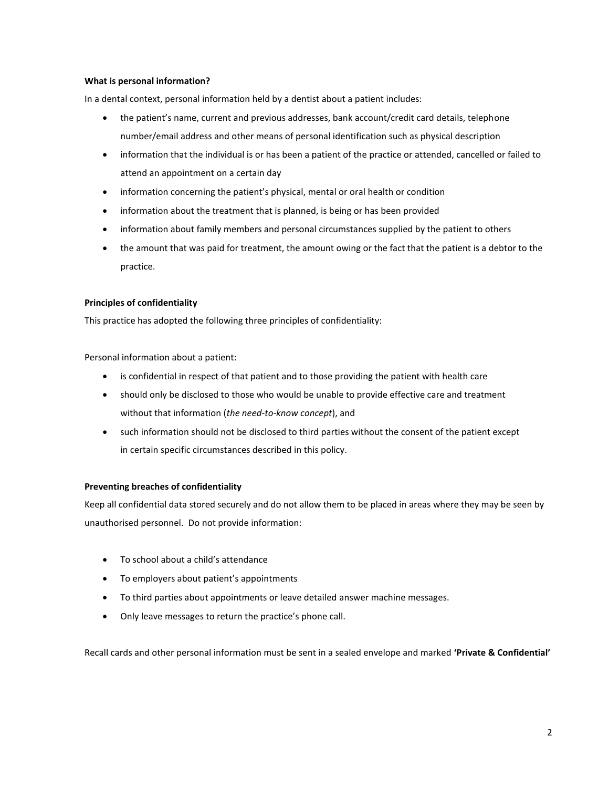## **What is personal information?**

In a dental context, personal information held by a dentist about a patient includes:

- the patient's name, current and previous addresses, bank account/credit card details, telephone number/email address and other means of personal identification such as physical description
- information that the individual is or has been a patient of the practice or attended, cancelled or failed to attend an appointment on a certain day
- information concerning the patient's physical, mental or oral health or condition
- information about the treatment that is planned, is being or has been provided
- information about family members and personal circumstances supplied by the patient to others
- the amount that was paid for treatment, the amount owing or the fact that the patient is a debtor to the practice.

# **Principles of confidentiality**

This practice has adopted the following three principles of confidentiality:

Personal information about a patient:

- is confidential in respect of that patient and to those providing the patient with health care
- should only be disclosed to those who would be unable to provide effective care and treatment without that information (*the need-to-know concept*), and
- such information should not be disclosed to third parties without the consent of the patient except in certain specific circumstances described in this policy.

# **Preventing breaches of confidentiality**

Keep all confidential data stored securely and do not allow them to be placed in areas where they may be seen by unauthorised personnel. Do not provide information:

- To school about a child's attendance
- To employers about patient's appointments
- To third parties about appointments or leave detailed answer machine messages.
- Only leave messages to return the practice's phone call.

Recall cards and other personal information must be sent in a sealed envelope and marked **'Private & Confidential'**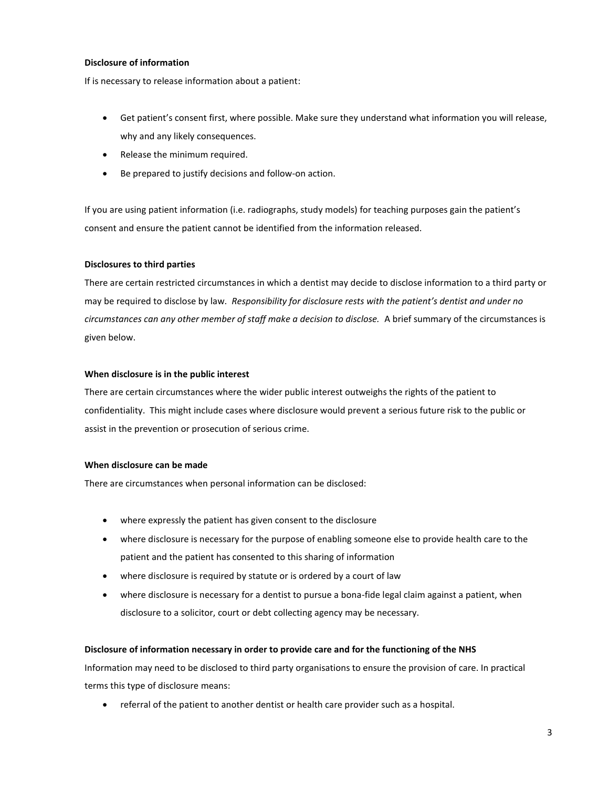## **Disclosure of information**

If is necessary to release information about a patient:

- Get patient's consent first, where possible. Make sure they understand what information you will release, why and any likely consequences.
- Release the minimum required.
- Be prepared to justify decisions and follow-on action.

If you are using patient information (i.e. radiographs, study models) for teaching purposes gain the patient's consent and ensure the patient cannot be identified from the information released.

#### **Disclosures to third parties**

There are certain restricted circumstances in which a dentist may decide to disclose information to a third party or may be required to disclose by law. *Responsibility for disclosure rests with the patient's dentist and under no circumstances can any other member of staff make a decision to disclose.* A brief summary of the circumstances is given below.

#### **When disclosure is in the public interest**

There are certain circumstances where the wider public interest outweighs the rights of the patient to confidentiality. This might include cases where disclosure would prevent a serious future risk to the public or assist in the prevention or prosecution of serious crime.

## **When disclosure can be made**

There are circumstances when personal information can be disclosed:

- where expressly the patient has given consent to the disclosure
- where disclosure is necessary for the purpose of enabling someone else to provide health care to the patient and the patient has consented to this sharing of information
- where disclosure is required by statute or is ordered by a court of law
- where disclosure is necessary for a dentist to pursue a bona-fide legal claim against a patient, when disclosure to a solicitor, court or debt collecting agency may be necessary.

## **Disclosure of information necessary in order to provide care and for the functioning of the NHS**

Information may need to be disclosed to third party organisations to ensure the provision of care. In practical terms this type of disclosure means:

referral of the patient to another dentist or health care provider such as a hospital.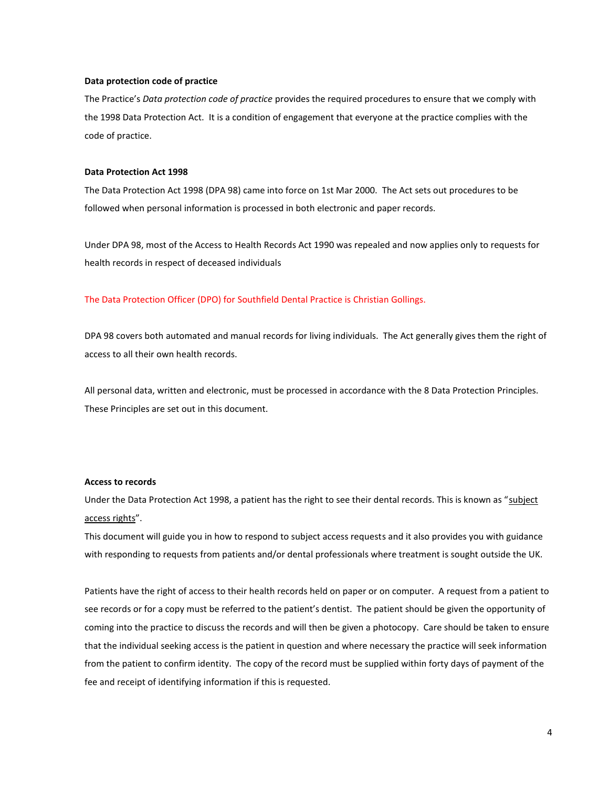#### **Data protection code of practice**

The Practice's *Data protection code of practice* provides the required procedures to ensure that we comply with the 1998 Data Protection Act. It is a condition of engagement that everyone at the practice complies with the code of practice.

#### **Data Protection Act 1998**

The Data Protection Act 1998 (DPA 98) came into force on 1st Mar 2000. The Act sets out procedures to be followed when personal information is processed in both electronic and paper records.

Under DPA 98, most of the Access to Health Records Act 1990 was repealed and now applies only to requests for health records in respect of deceased individuals

#### The Data Protection Officer (DPO) for Southfield Dental Practice is Christian Gollings.

DPA 98 covers both automated and manual records for living individuals. The Act generally gives them the right of access to all their own health records.

All personal data, written and electronic, must be processed in accordance with the 8 Data Protection Principles. These Principles are set out in this document.

#### **Access to records**

Under the Data Protection Act 1998, a patient has the right to see their dental records. This is known as "subject access rights".

This document will guide you in how to respond to subject access requests and it also provides you with guidance with responding to requests from patients and/or dental professionals where treatment is sought outside the UK.

Patients have the right of access to their health records held on paper or on computer. A request from a patient to see records or for a copy must be referred to the patient's dentist. The patient should be given the opportunity of coming into the practice to discuss the records and will then be given a photocopy. Care should be taken to ensure that the individual seeking access is the patient in question and where necessary the practice will seek information from the patient to confirm identity. The copy of the record must be supplied within forty days of payment of the fee and receipt of identifying information if this is requested.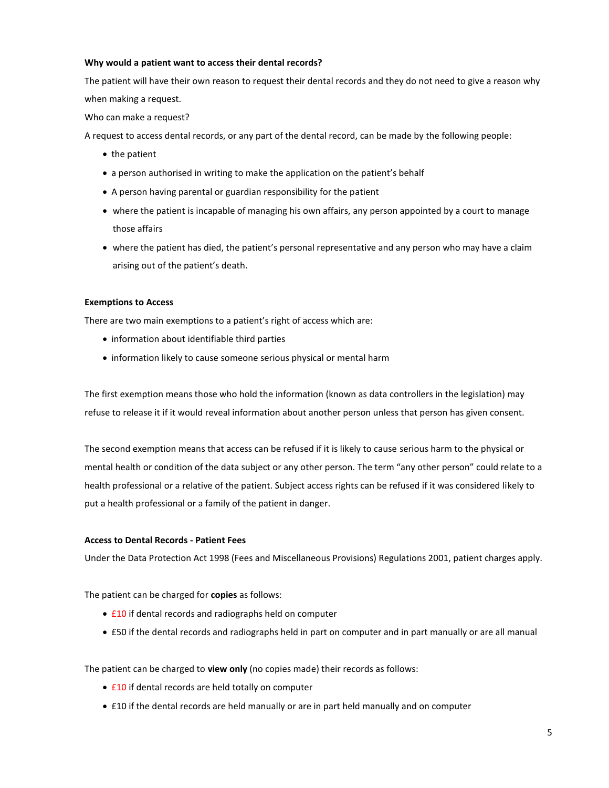## **Why would a patient want to access their dental records?**

The patient will have their own reason to request their dental records and they do not need to give a reason why when making a request.

Who can make a request?

A request to access dental records, or any part of the dental record, can be made by the following people:

- $\bullet$  the patient
- a person authorised in writing to make the application on the patient's behalf
- A person having parental or guardian responsibility for the patient
- where the patient is incapable of managing his own affairs, any person appointed by a court to manage those affairs
- where the patient has died, the patient's personal representative and any person who may have a claim arising out of the patient's death.

#### **Exemptions to Access**

There are two main exemptions to a patient's right of access which are:

- information about identifiable third parties
- information likely to cause someone serious physical or mental harm

The first exemption means those who hold the information (known as data controllers in the legislation) may refuse to release it if it would reveal information about another person unless that person has given consent.

The second exemption means that access can be refused if it is likely to cause serious harm to the physical or mental health or condition of the data subject or any other person. The term "any other person" could relate to a health professional or a relative of the patient. Subject access rights can be refused if it was considered likely to put a health professional or a family of the patient in danger.

## **Access to Dental Records - Patient Fees**

Under the Data Protection Act 1998 (Fees and Miscellaneous Provisions) Regulations 2001, patient charges apply.

The patient can be charged for **copies** as follows:

- £10 if dental records and radiographs held on computer
- £50 if the dental records and radiographs held in part on computer and in part manually or are all manual

The patient can be charged to **view only** (no copies made) their records as follows:

- £10 if dental records are held totally on computer
- £10 if the dental records are held manually or are in part held manually and on computer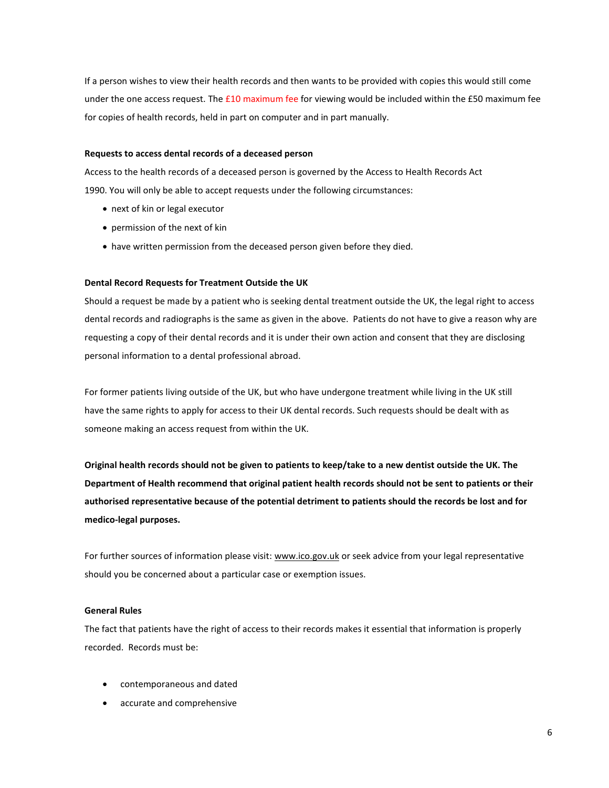If a person wishes to view their health records and then wants to be provided with copies this would still come under the one access request. The  $£10$  maximum fee for viewing would be included within the  $£50$  maximum fee for copies of health records, held in part on computer and in part manually.

#### **Requests to access dental records of a deceased person**

Access to the health records of a deceased person is governed by the Access to Health Records Act 1990. You will only be able to accept requests under the following circumstances:

- next of kin or legal executor
- permission of the next of kin
- have written permission from the deceased person given before they died.

## **Dental Record Requests for Treatment Outside the UK**

Should a request be made by a patient who is seeking dental treatment outside the UK, the legal right to access dental records and radiographs is the same as given in the above. Patients do not have to give a reason why are requesting a copy of their dental records and it is under their own action and consent that they are disclosing personal information to a dental professional abroad.

For former patients living outside of the UK, but who have undergone treatment while living in the UK still have the same rights to apply for access to their UK dental records. Such requests should be dealt with as someone making an access request from within the UK.

**Original health records should not be given to patients to keep/take to a new dentist outside the UK. The Department of Health recommend that original patient health records should not be sent to patients or their authorised representative because of the potential detriment to patients should the records be lost and for medico-legal purposes.**

For further sources of information please visit: [www.ico.gov.uk](http://www.ico.gov.uk/) or seek advice from your legal representative should you be concerned about a particular case or exemption issues.

#### **General Rules**

The fact that patients have the right of access to their records makes it essential that information is properly recorded. Records must be:

- contemporaneous and dated
- accurate and comprehensive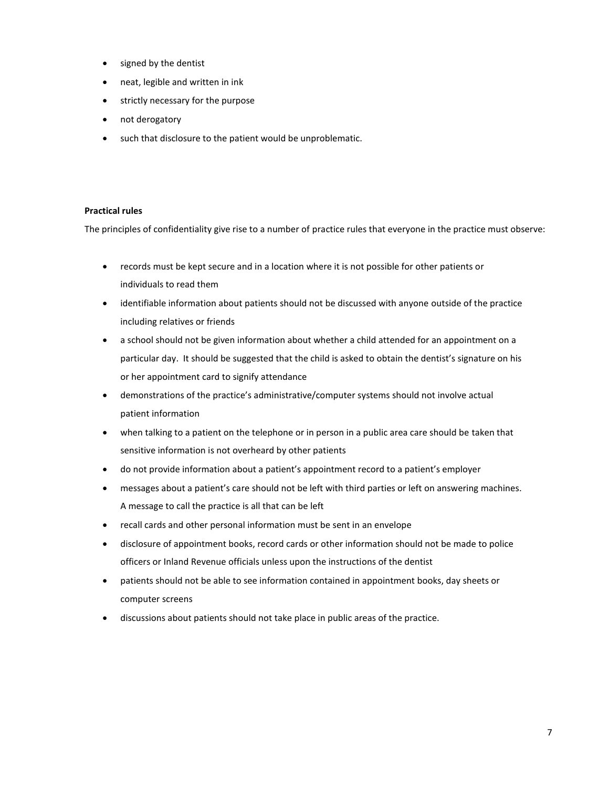- signed by the dentist
- neat, legible and written in ink
- strictly necessary for the purpose
- not derogatory
- such that disclosure to the patient would be unproblematic.

# **Practical rules**

The principles of confidentiality give rise to a number of practice rules that everyone in the practice must observe:

- records must be kept secure and in a location where it is not possible for other patients or individuals to read them
- identifiable information about patients should not be discussed with anyone outside of the practice including relatives or friends
- a school should not be given information about whether a child attended for an appointment on a particular day. It should be suggested that the child is asked to obtain the dentist's signature on his or her appointment card to signify attendance
- demonstrations of the practice's administrative/computer systems should not involve actual patient information
- when talking to a patient on the telephone or in person in a public area care should be taken that sensitive information is not overheard by other patients
- do not provide information about a patient's appointment record to a patient's employer
- messages about a patient's care should not be left with third parties or left on answering machines. A message to call the practice is all that can be left
- recall cards and other personal information must be sent in an envelope
- disclosure of appointment books, record cards or other information should not be made to police officers or Inland Revenue officials unless upon the instructions of the dentist
- patients should not be able to see information contained in appointment books, day sheets or computer screens
- discussions about patients should not take place in public areas of the practice.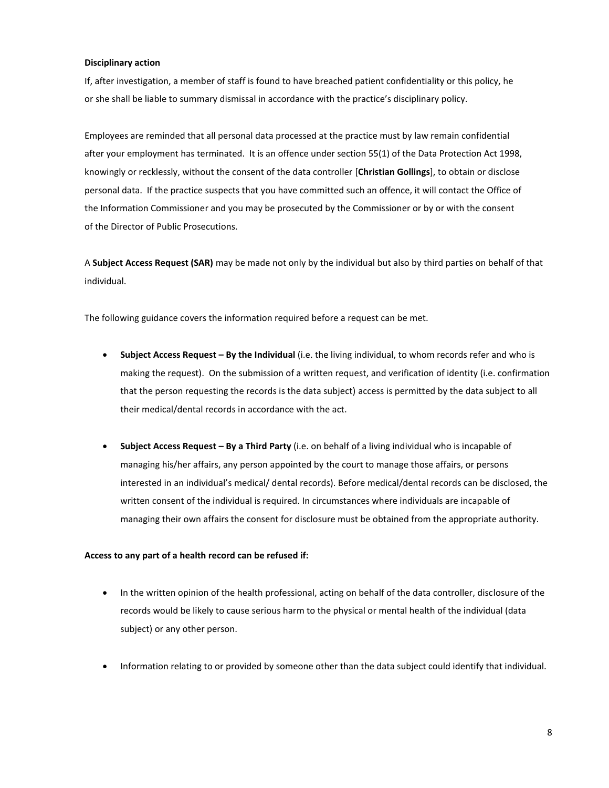#### **Disciplinary action**

If, after investigation, a member of staff is found to have breached patient confidentiality or this policy, he or she shall be liable to summary dismissal in accordance with the practice's disciplinary policy.

Employees are reminded that all personal data processed at the practice must by law remain confidential after your employment has terminated. It is an offence under section 55(1) of the Data Protection Act 1998, knowingly or recklessly, without the consent of the data controller [**Christian Gollings**], to obtain or disclose personal data. If the practice suspects that you have committed such an offence, it will contact the Office of the Information Commissioner and you may be prosecuted by the Commissioner or by or with the consent of the Director of Public Prosecutions.

A **Subject Access Request (SAR)** may be made not only by the individual but also by third parties on behalf of that individual.

The following guidance covers the information required before a request can be met.

- **Subject Access Request By the Individual** (i.e. the living individual, to whom records refer and who is making the request). On the submission of a written request, and verification of identity (i.e. confirmation that the person requesting the records is the data subject) access is permitted by the data subject to all their medical/dental records in accordance with the act.
- **Subject Access Request – By a Third Party** (i.e. on behalf of a living individual who is incapable of managing his/her affairs, any person appointed by the court to manage those affairs, or persons interested in an individual's medical/ dental records). Before medical/dental records can be disclosed, the written consent of the individual is required. In circumstances where individuals are incapable of managing their own affairs the consent for disclosure must be obtained from the appropriate authority.

#### **Access to any part of a health record can be refused if:**

- In the written opinion of the health professional, acting on behalf of the data controller, disclosure of the records would be likely to cause serious harm to the physical or mental health of the individual (data subject) or any other person.
- Information relating to or provided by someone other than the data subject could identify that individual.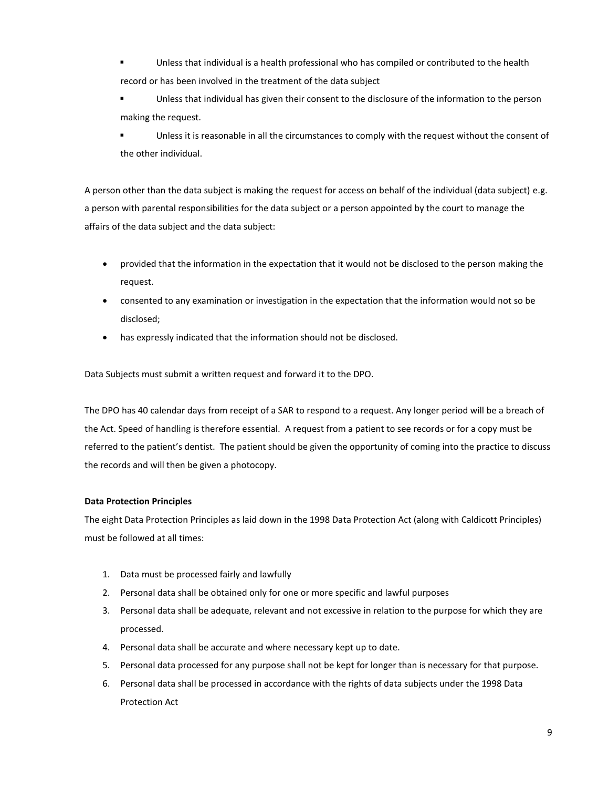- Unless that individual is a health professional who has compiled or contributed to the health record or has been involved in the treatment of the data subject
- Unless that individual has given their consent to the disclosure of the information to the person making the request.

**Unless it is reasonable in all the circumstances to comply with the request without the consent of** the other individual.

A person other than the data subject is making the request for access on behalf of the individual (data subject) e.g. a person with parental responsibilities for the data subject or a person appointed by the court to manage the affairs of the data subject and the data subject:

- provided that the information in the expectation that it would not be disclosed to the person making the request.
- consented to any examination or investigation in the expectation that the information would not so be disclosed;
- has expressly indicated that the information should not be disclosed.

Data Subjects must submit a written request and forward it to the DPO.

The DPO has 40 calendar days from receipt of a SAR to respond to a request. Any longer period will be a breach of the Act. Speed of handling is therefore essential. A request from a patient to see records or for a copy must be referred to the patient's dentist. The patient should be given the opportunity of coming into the practice to discuss the records and will then be given a photocopy.

# **Data Protection Principles**

The eight Data Protection Principles as laid down in the 1998 Data Protection Act (along with Caldicott Principles) must be followed at all times:

- 1. Data must be processed fairly and lawfully
- 2. Personal data shall be obtained only for one or more specific and lawful purposes
- 3. Personal data shall be adequate, relevant and not excessive in relation to the purpose for which they are processed.
- 4. Personal data shall be accurate and where necessary kept up to date.
- 5. Personal data processed for any purpose shall not be kept for longer than is necessary for that purpose.
- 6. Personal data shall be processed in accordance with the rights of data subjects under the 1998 Data Protection Act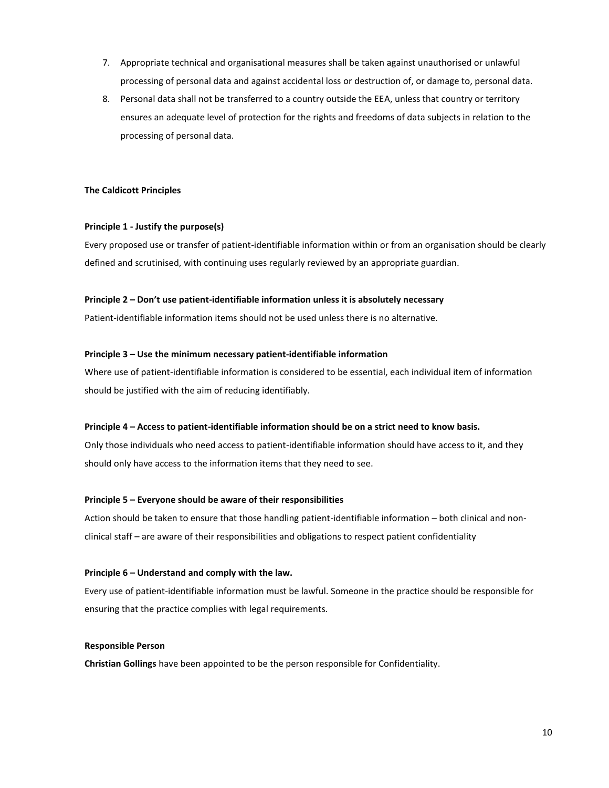- 7. Appropriate technical and organisational measures shall be taken against unauthorised or unlawful processing of personal data and against accidental loss or destruction of, or damage to, personal data.
- 8. Personal data shall not be transferred to a country outside the EEA, unless that country or territory ensures an adequate level of protection for the rights and freedoms of data subjects in relation to the processing of personal data.

## **The Caldicott Principles**

# **Principle 1 - Justify the purpose(s)**

Every proposed use or transfer of patient-identifiable information within or from an organisation should be clearly defined and scrutinised, with continuing uses regularly reviewed by an appropriate guardian.

# **Principle 2 – Don't use patient-identifiable information unless it is absolutely necessary**

Patient-identifiable information items should not be used unless there is no alternative.

# **Principle 3 – Use the minimum necessary patient-identifiable information**

Where use of patient-identifiable information is considered to be essential, each individual item of information should be justified with the aim of reducing identifiably.

## **Principle 4 – Access to patient-identifiable information should be on a strict need to know basis.**

Only those individuals who need access to patient-identifiable information should have access to it, and they should only have access to the information items that they need to see.

## **Principle 5 – Everyone should be aware of their responsibilities**

Action should be taken to ensure that those handling patient-identifiable information – both clinical and nonclinical staff – are aware of their responsibilities and obligations to respect patient confidentiality

## **Principle 6 – Understand and comply with the law.**

Every use of patient-identifiable information must be lawful. Someone in the practice should be responsible for ensuring that the practice complies with legal requirements.

## **Responsible Person**

**Christian Gollings** have been appointed to be the person responsible for Confidentiality.